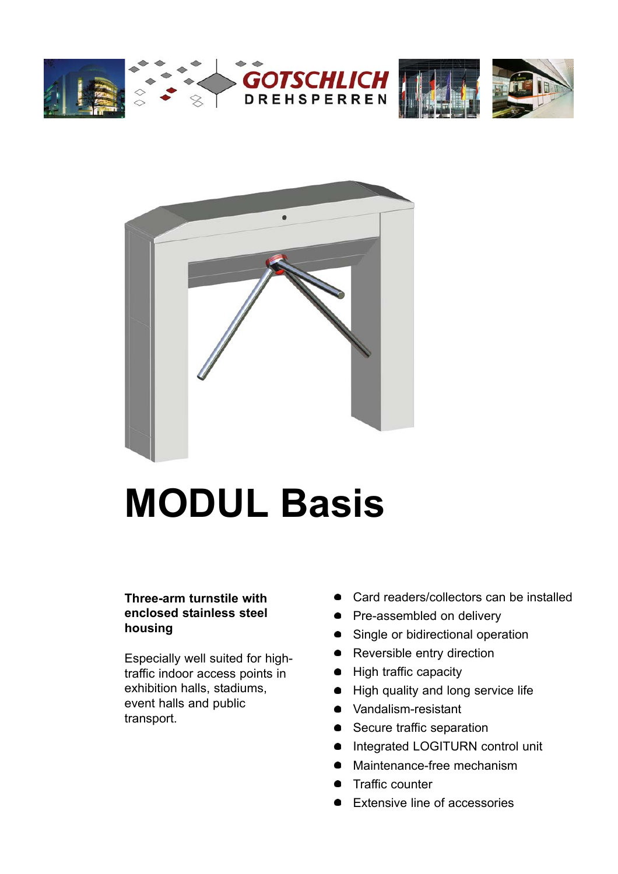



# **MODUL Basis**

### **Three-arm turnstile with enclosed stainless steel housing**

Especially well suited for hightraffic indoor access points in exhibition halls, stadiums, event halls and public transport.

- Card readers/collectors can be installed
- Pre-assembled on delivery
- Single or bidirectional operation
- Reversible entry direction
- High traffic capacity
- High quality and long service life
- Vandalism-resistant
- Secure traffic separation
- Integrated LOGITURN control unit
- Maintenance-free mechanism
- Traffic counter
- Extensive line of accessories